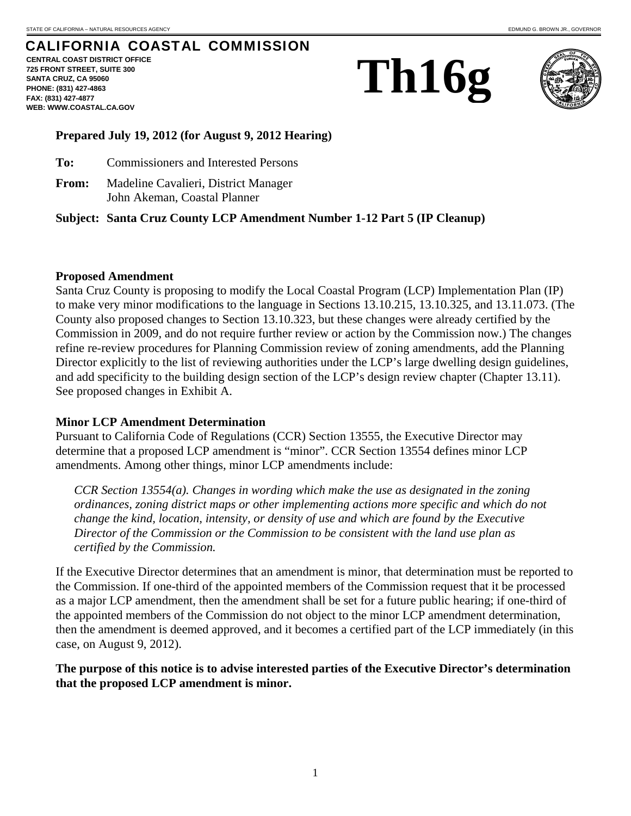# CALIFORNIA COASTAL COMMISSION

**CENTRAL COAST DISTRICT OFFICE 725 FRONT STREET, SUITE 300 SANTA CRUZ, CA 95060 PHONE: (831) 427-4863 FAX: (831) 427-4877 WEB: WWW.COASTAL.CA.GOV**





#### **Prepared July 19, 2012 (for August 9, 2012 Hearing)**

- **To:** Commissioners and Interested Persons
- **From:** Madeline Cavalieri, District Manager John Akeman, Coastal Planner

#### **Subject: Santa Cruz County LCP Amendment Number 1-12 Part 5 (IP Cleanup)**

#### **Proposed Amendment**

Santa Cruz County is proposing to modify the Local Coastal Program (LCP) Implementation Plan (IP) to make very minor modifications to the language in Sections 13.10.215, 13.10.325, and 13.11.073. (The County also proposed changes to Section 13.10.323, but these changes were already certified by the Commission in 2009, and do not require further review or action by the Commission now.) The changes refine re-review procedures for Planning Commission review of zoning amendments, add the Planning Director explicitly to the list of reviewing authorities under the LCP's large dwelling design guidelines, and add specificity to the building design section of the LCP's design review chapter (Chapter 13.11). See proposed changes in Exhibit A.

#### **Minor LCP Amendment Determination**

Pursuant to California Code of Regulations (CCR) Section 13555, the Executive Director may determine that a proposed LCP amendment is "minor". CCR Section 13554 defines minor LCP amendments. Among other things, minor LCP amendments include:

*CCR Section 13554(a). Changes in wording which make the use as designated in the zoning ordinances, zoning district maps or other implementing actions more specific and which do not change the kind, location, intensity, or density of use and which are found by the Executive Director of the Commission or the Commission to be consistent with the land use plan as certified by the Commission.* 

If the Executive Director determines that an amendment is minor, that determination must be reported to the Commission. If one-third of the appointed members of the Commission request that it be processed as a major LCP amendment, then the amendment shall be set for a future public hearing; if one-third of the appointed members of the Commission do not object to the minor LCP amendment determination, then the amendment is deemed approved, and it becomes a certified part of the LCP immediately (in this case, on August 9, 2012).

#### **The purpose of this notice is to advise interested parties of the Executive Director's determination that the proposed LCP amendment is minor.**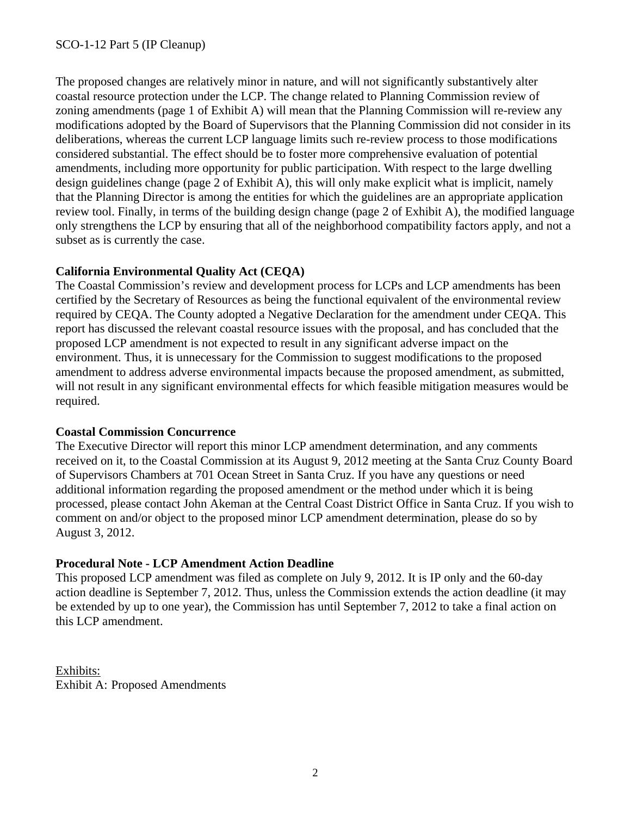The proposed changes are relatively minor in nature, and will not significantly substantively alter coastal resource protection under the LCP. The change related to Planning Commission review of zoning amendments (page 1 of Exhibit A) will mean that the Planning Commission will re-review any modifications adopted by the Board of Supervisors that the Planning Commission did not consider in its deliberations, whereas the current LCP language limits such re-review process to those modifications considered substantial. The effect should be to foster more comprehensive evaluation of potential amendments, including more opportunity for public participation. With respect to the large dwelling design guidelines change (page 2 of Exhibit A), this will only make explicit what is implicit, namely that the Planning Director is among the entities for which the guidelines are an appropriate application review tool. Finally, in terms of the building design change (page 2 of Exhibit A), the modified language only strengthens the LCP by ensuring that all of the neighborhood compatibility factors apply, and not a subset as is currently the case.

## **California Environmental Quality Act (CEQA)**

The Coastal Commission's review and development process for LCPs and LCP amendments has been certified by the Secretary of Resources as being the functional equivalent of the environmental review required by CEQA. The County adopted a Negative Declaration for the amendment under CEQA. This report has discussed the relevant coastal resource issues with the proposal, and has concluded that the proposed LCP amendment is not expected to result in any significant adverse impact on the environment. Thus, it is unnecessary for the Commission to suggest modifications to the proposed amendment to address adverse environmental impacts because the proposed amendment, as submitted, will not result in any significant environmental effects for which feasible mitigation measures would be required.

### **Coastal Commission Concurrence**

The Executive Director will report this minor LCP amendment determination, and any comments received on it, to the Coastal Commission at its August 9, 2012 meeting at the Santa Cruz County Board of Supervisors Chambers at 701 Ocean Street in Santa Cruz. If you have any questions or need additional information regarding the proposed amendment or the method under which it is being processed, please contact John Akeman at the Central Coast District Office in Santa Cruz. If you wish to comment on and/or object to the proposed minor LCP amendment determination, please do so by August 3, 2012.

## **Procedural Note - LCP Amendment Action Deadline**

This proposed LCP amendment was filed as complete on July 9, 2012. It is IP only and the 60-day action deadline is September 7, 2012. Thus, unless the Commission extends the action deadline (it may be extended by up to one year), the Commission has until September 7, 2012 to take a final action on this LCP amendment.

Exhibits: Exhibit A: Proposed Amendments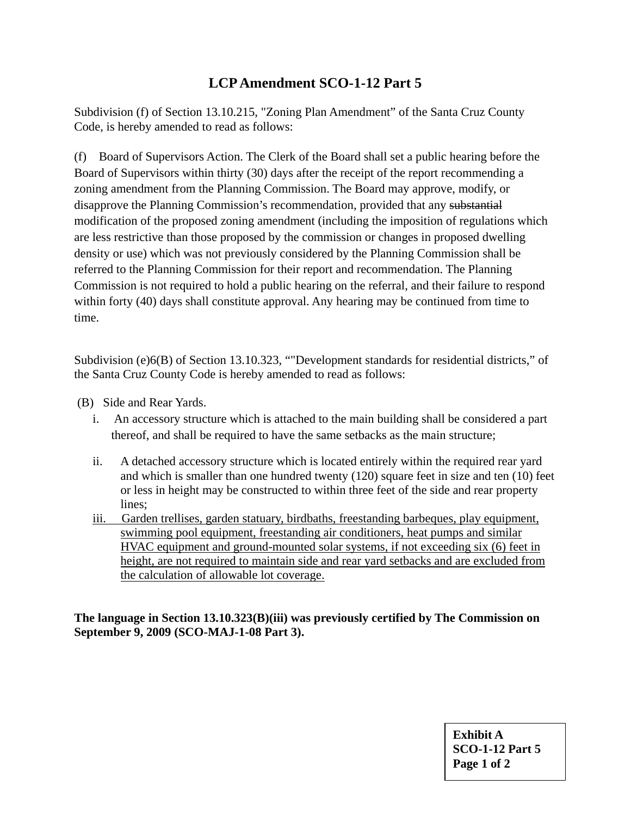# **LCP Amendment SCO-1-12 Part 5**

Subdivision (f) of Section 13.10.215, "Zoning Plan Amendment" of the Santa Cruz County Code, is hereby amended to read as follows:

(f) Board of Supervisors Action. The Clerk of the Board shall set a public hearing before the Board of Supervisors within thirty (30) days after the receipt of the report recommending a zoning amendment from the Planning Commission. The Board may approve, modify, or disapprove the Planning Commission's recommendation, provided that any substantial modification of the proposed zoning amendment (including the imposition of regulations which are less restrictive than those proposed by the commission or changes in proposed dwelling density or use) which was not previously considered by the Planning Commission shall be referred to the Planning Commission for their report and recommendation. The Planning Commission is not required to hold a public hearing on the referral, and their failure to respond within forty (40) days shall constitute approval. Any hearing may be continued from time to time.

Subdivision (e)6(B) of Section 13.10.323, ""Development standards for residential districts," of the Santa Cruz County Code is hereby amended to read as follows:

- (B) Side and Rear Yards.
	- i. An accessory structure which is attached to the main building shall be considered a part thereof, and shall be required to have the same setbacks as the main structure;
	- ii. A detached accessory structure which is located entirely within the required rear yard and which is smaller than one hundred twenty (120) square feet in size and ten (10) feet or less in height may be constructed to within three feet of the side and rear property lines;
	- iii. Garden trellises, garden statuary, birdbaths, freestanding barbeques, play equipment, swimming pool equipment, freestanding air conditioners, heat pumps and similar HVAC equipment and ground-mounted solar systems, if not exceeding six (6) feet in height, are not required to maintain side and rear yard setbacks and are excluded from the calculation of allowable lot coverage.

**The language in Section 13.10.323(B)(iii) was previously certified by The Commission on September 9, 2009 (SCO-MAJ-1-08 Part 3).**

> **Exhibit A SCO-1-12 Part 5 Page 1 of 2**